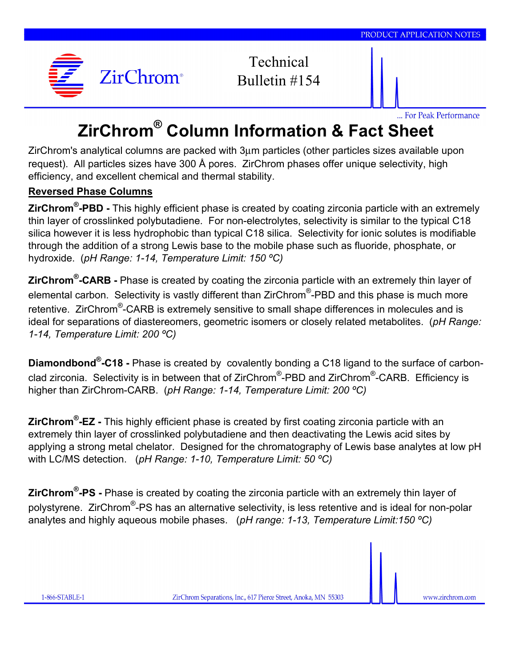

Technical Bulletin #154

... For Peak Performance

## **ZirChrom® Column Information & Fact Sheet**

ZirChrom's analytical columns are packed with 3µm particles (other particles sizes available upon request). All particles sizes have 300 Å pores. ZirChrom phases offer unique selectivity, high efficiency, and excellent chemical and thermal stability.

## **Reversed Phase Columns**

**ZirChrom® -PBD -** This highly efficient phase is created by coating zirconia particle with an extremely thin layer of crosslinked polybutadiene. For non-electrolytes, selectivity is similar to the typical C18 silica however it is less hydrophobic than typical C18 silica. Selectivity for ionic solutes is modifiable through the addition of a strong Lewis base to the mobile phase such as fluoride, phosphate, or hydroxide. (*pH Range: 1-14, Temperature Limit: 150 ºC)*

**ZirChrom® -CARB -** Phase is created by coating the zirconia particle with an extremely thin layer of elemental carbon. Selectivity is vastly different than ZirChrom®-PBD and this phase is much more retentive. ZirChrom<sup>®</sup>-CARB is extremely sensitive to small shape differences in molecules and is ideal for separations of diastereomers, geometric isomers or closely related metabolites. (*pH Range: 1-14, Temperature Limit: 200 ºC)*

**Diamondbond® -C18 -** Phase is created by covalently bonding a C18 ligand to the surface of carbonclad zirconia. Selectivity is in between that of ZirChrom<sup>®</sup>-PBD and ZirChrom<sup>®</sup>-CARB. Efficiency is higher than ZirChrom-CARB. (*pH Range: 1-14, Temperature Limit: 200 ºC)*

**ZirChrom® -EZ -** This highly efficient phase is created by first coating zirconia particle with an extremely thin layer of crosslinked polybutadiene and then deactivating the Lewis acid sites by applying a strong metal chelator. Designed for the chromatography of Lewis base analytes at low pH with LC/MS detection. (*pH Range: 1-10, Temperature Limit: 50 ºC)*

**ZirChrom® -PS -** Phase is created by coating the zirconia particle with an extremely thin layer of polystyrene. ZirChrom $^{\circledR}$ -PS has an alternative selectivity, is less retentive and is ideal for non-polar analytes and highly aqueous mobile phases. (*pH range: 1-13, Temperature Limit:150 ºC)*